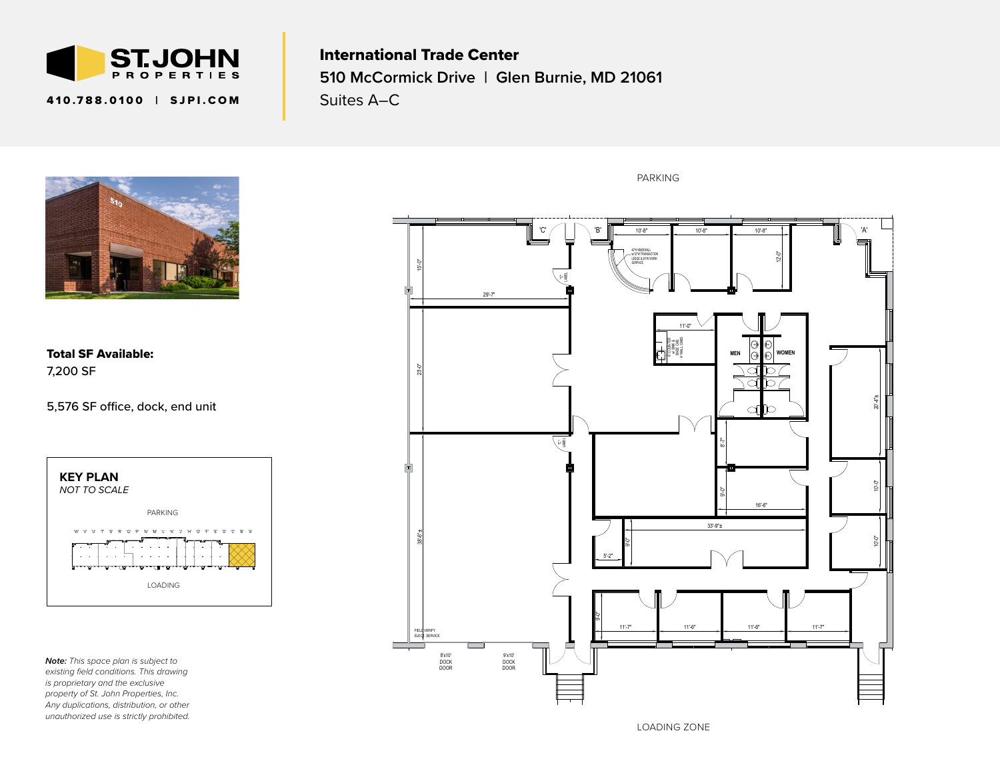

## 410.788.0100 | SJPI.COM

International Trade Center **510 McCormick Drive | Glen Burnie, MD 21061** Suites A–C



Total SF Available: 7,200 SF

5,576 SF office, dock, end unit



*Note: This space plan is subject to existing field conditions. This drawing is proprietary and the exclusive property of St. John Properties, Inc. Any duplications, distribution, or other unauthorized use is strictly prohibited.* PARKING



LOADING ZONE